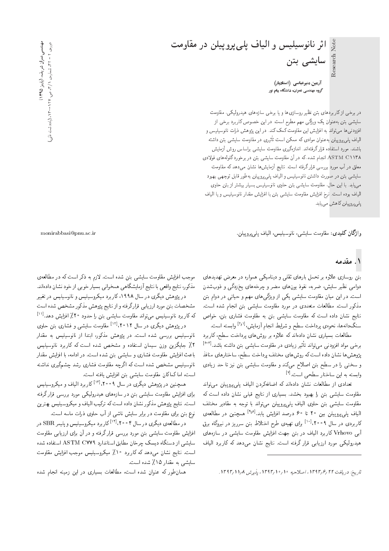اثر نانوسیلیس و الیاف پلیپروپیلن در مقاومت Research Note سایشی بتن

آرمین منیرعباسی (استادیار) ۔<br>گروہ مھندسی عمران، دانشگاہ پیام نور

در برخی از کار بردهای بتن نظیر روسازی ها و یا برخی سازه های هیدرولیکی، مقاومت سایشی بتن بهعنوان یک ویژگی مهم مطرح است. در این خصوص کاربرد برخی از افزودنی ها میتواند به افزایش این مقاومت کمک کند. در این پژوهش ذرات نانوسیلیس و الیاف پلی پروییلن به عنوان موادی که ممکن است تأثیری در مقاومت سایشی بتن داشته باشند، مورد استفاده قرار گرفتهاند. اندازهگیری مقاومت سایشی براساس روش آزمایش ASTM C ۱۱۳۸ انجام شده، که در آن مقاومت سایشی بتن در برخورد گلولههای فولادی معلق در آب مورد بررسی قرار گرفته است. نتایج آزمایشها نشان می0دهد که مقاومت سایشی بتن در صورت داشتن نانوسیلیس و الیاف پلی پروییلن بهطور قابل توجهی بهبود می،یابد. با این حالّ، مقاومت سایشی بتن حاوی نانوسیلیس بسیار بیشتر از بتن حاوی المیاف بوده است. نرخ افزایش مقاومت سایشی بتن با افزایش مقدار نانوسیلیس و یا المیاف پلې پروپيلن کاهش مېيابد.

وا**ژگان کليدي**: مقاومت سايشې، نانوسيليس، الياف يل<u>ې برويي</u>لن.

# ۱. مقدمه

بتن روسازی علاوه بر تحمل بارهای ثقلبی و دینامیکمی همواره در معرض تهدیدهای دوامی نظیر سایش، ضربه، نفوذ یونهای مضر و چرخههای یخزدگی و ذوبشدن است. در این میان مقاومت سایشی یکی از ویژگی۵های مهم و حیاتی در دوام بتن مذکور است. مطالعات متعددی در مورد مقاومت سایشی بتن انجام شده است. نتایج نشان داده است که مقاومت سایشی بتن به مقاومت فشاری بتن، خواص سنگدانهها، نحوهي پرداخت سطح و شرايط انجام آزمايش،<sup>[۱۶۱]</sup> وابسته است.

مطالعات بسیاری نشان دادهاند که علاوه بر روش های پرداخت سطح، کاربرد برخی مواد افزودنی میتواند تأثیر زیادی در مقاومت سایشی بتن داشته باشد.<sup>[۴-۳]</sup> پژوهش ها نشان داده است که روش های مختلف پرداخت سطح، ساختارهای منافذ و سختی را در سطح بتن اصلاح میکند و مقاومت سایشی بتن نیز تا حد زیادی وابسته به این ساختار سطحی است.<sup>[۷]</sup>

تعدادی از مطالعات نشان دادهاند که اضافهکردن الیاف پلیپروپیلن میتواند مقاومت سایشی بتن را بهبود بخشد. بسیاری از نتایج قبلی نشان داده است که مقاومت سایشی بتن حاوی الیاف پلیپروپیلن می تواند با توجه به مقادیر مختلف الياف يل<sub>م،</sub>يروييلن بين ٢٠ تا ٤٠ درصد افزايش يابد.<sup>[٩٫٨]</sup> همچنين در مطالعهي کاربردی در سال ۲۰۰۹،<sup>[۱۰]</sup> برای تهیهی طرح اختلاط بتن سرریز در نیروگاه برق آبی Vrhovo کاربرد الیاف در بتن جهت افزایش مقاومت سایشی در سازههای هیدرولیکی مورد ارزیابی قرار گرفته است. نتایج نشان میدهد که کاربرد الیاف

موجب افزایش مقاومت سایشی بتن شده است. لازم به ذکر است که در مطالعهی مذکور، نتایج واقعی با نتایج آزمایشگاهی همخوانی بسیار خوبی از خود نشان دادهاند.

در پژوهش دیگری در سال ۱۹۹۸، کاربرد میکروسیلیس و نانوسیلیس در تغییر مشخصات بتن مورد ارزيابي قرار گرفته و از نتايج پژوهش مذكور مشخص شده است که کاربرد نانوسیلیس میتواند مقاومت سایشی بتن را حدود ۲۰٪ افزایش دهد.<sup>[۱۱]</sup>

در پژوهش دیگری در سال ۲۰۱۲، ۲۰۱<sup>۱۰۱</sup> مقاومت سایشی و فشاری بتن حاوی نانوسیلیس بررسی شده است. <mark>در پژوهش مذکور، ابتدا از نانوسیلیس به مقدار</mark> ۲٪ جایگزین وزن سیمان استفاده و مشخص شده است که کاربرد نانوسیلیس باعث افزایش مقاومت فشاری و سایشی بتن شده است. در ادامه، با افزایش مقدار نانوسیلیس مشخص شده است که اگرچه مقاومت فشاری رشد چشمگیری نداشته است، اما كماكان مقاومت سايشى بتن افزايش يافته است.

همچنین در پژوهش دیگری در سال ۲۰۰۹، ۱<sup>۰۳]</sup> کاربرد الیاف و میکروسیلیس برای افزایش مقاومت سایشی بتن در سازههای هیدرولیکی مورد بررسی قرار گرفته است. نتایج پژوهش مذکور نشان داده است که ترکیب الیاف و میکروسیلیس بهترین نوع بتن برای مقاومت در برابر سایش ناشی از آب حاوی ذرات ماسه است.

در مطالعهى ديگرى در سال ۲۰۰۴،<sup>[۱۴]</sup> كار برد ميكروسيليس و پليمر SBR در افزایش مقاومت سایشه بتن مورد بررسی قرار گرفته و در آن برای ارزیابی مقاومت سایشی از دستگاه دیسک چرخان مطابق استاندارد ASTM CYY۹ استفاده شده است. نتایج نشان میدهد که کاربرد ۱۰٪ میکروسیلیس موجب افزایش مقاومت سایشی به مقدار ۱۵٪ شده است.

همان طور که عنوان شده است، مطالعات بسیاری در این زمینه انجام شده

مهنىسىعمران شريف، (پاييز ۱۳۹۵) دوروی ۲ – ۳۲. شمارهی ۱/۳، ص. ۱۲۷-۲۵. (یادداشت فن<sup>ق</sup>ی

monirabbasi@pnu.ac.ir

تاريخ: دريافت ١٣٩٣/٢/١٣٩٣، اصلاحيه ١٥/٠/١٣٩٣، يذيرش ١٣٩٣/١١/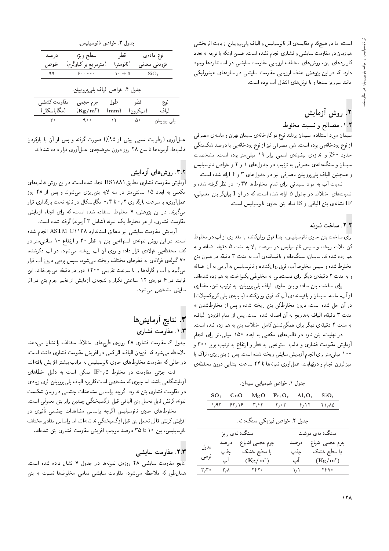است، اما در هیچکدام مقایسه ی اثر نانوسیلیس و الیاف پلی پروپیلن از بابت اثر بخشی همزمان در مقاومت سایشی و فشاری انجام نشده است. ضمن اینکه با توجه به تعدد کاربردهای بتن، روش های مختلف ارزیابی مقاومت سایشی در استانداردها وجود دارد، که در این پژوهش هدف ارزیابی مقاومت سایشی در سازههای هیدرولیکی مانند سرريز سدها و يا تونل هاى انتقال آب بوده است.

# ۲. روش آزمایش

## ٠١.٢ مصالح ونسبت مخلوط

سیمان مورد استفاده، سیمان پرتلند نوع دو کارخانهی سیمان تهران و ماسهی مصرفی از نوع رودخانهیی بوده است. شن مصرفی نیز از نوع رودخانهیی با درصد شکستگی حدود ۶۰٪ و اندازهی بیشینهی اسمی برابر ۱۹ میلیمتر بوده است. مشخصات سیمان و سنگدانه ی مصرفی به ترتیب در جدولهای ۱ و ۲ و خواص نانوسیلیس و همچنین الیاف پلی پروپیلن مصرفی نیز در جدولهای ۳ و ۴ ارائه شده است.

نسبت آب به مواد سیمانی برای تمام مخلوطها ۴۷٫۰ در نظر گرفته شده و نسبتهای اختلاط در جدول ۵ ارائه شده است، که در آن I بیانگر بتن معمولی، IF نشانهى بتن اليافى و IS نماد بتن حاوى نانوسيليس است.

#### ٢.٢. ساخت نمونه

برای ساخت بتن حاوی نانوسیلیس، ابتدا فوق روانکننده با مقداری از آب در مخلوط كن ملات ريخته و سپس نانوسيليس در سرعت بالا به مدت ۵ دقيقه اضافه و به هم زده شدهاند. سیمان، سنگدانه و باقیماندهی آب به مدت ۳ دقیقه در همزن بتن مخلوط شده و سپس مخلوط آب، فوق روانكننده، و نانوسیلیس به آرامی به آن اضافه و به مدت ۲ دقیقهی دیگر برای دست یابی به مخلوطی یکنواخت، به هم زده شدهاند.

برای ساخت بتن ساده و بتن حاوی الیاف پلی پروپیلن، به ترتیب شن، مقداری از آب، ماسه، سیمان و باقیماندهی آب که فوق روانکننده (با پایهی پلمی کربوکسیلات) در آن حل شده است، درون مخلوطکن بتن ریخته شده و پس از مخلوطشدن به مدت ٣ دقيقه، الياف بهتدريج به أن اضافه شده است. پس از اتمام افزودن الياف، به مدت ۲ دقیقهی دیگر برای همگن شدن کامل اختلاط، بتن به هم زده شده است.

در نهایت، بتن تازه در قالبهای مکعبی به ابعاد ١٥٠ میلی متر برای انجام أرمايش مقاومت فشارى و قالب استوانهيى به قطر و ارتفاع به ترتيب برابر ٣٠٠ و ۱۰۰ میلی متر برای انجام آزمایش سایش ریخته شده است. پس از بتن ریزی، تراکم با میز لرزان انجام و درنهایت، عملآوری نمونهها تا ۲۴ ساعت ابتدایی درون محفظهی

جدول ١. خواص شيميايي سيمان.

|  |  | $SO_r$ CaO MgO Fe <sub>r</sub> O <sub>r</sub> Al <sub>1</sub> O <sub>r</sub> SiO <sub>1</sub> |  |
|--|--|-----------------------------------------------------------------------------------------------|--|
|  |  | ۱٫۹۳ ۶۳٫۱۶ ۳٫۴۳ ۳٫۰۳ ۴٫۱۲ ۲۱٫۸۵                                                               |  |
|  |  |                                                                                               |  |

جدول ٢. خواص فيزيكي سنگ دانه.

|                           |                    | سنگدانهی ریز        |           | سنگدانهی درشت       |
|---------------------------|--------------------|---------------------|-----------|---------------------|
| مدول                      |                    | جرم حجمی اشباع درصد |           | جرم حجمی اشباع درصد |
|                           | حذب                | با سطح خشک          | جذب       | با سطح خشک          |
| نرمى                      | ۔ آپ               | $(\rm Kg/m^{\tau})$ | ا ب       | $(Kg/m^{\tau})$     |
| $\mathsf{r},\mathsf{r}$ . | $\mathsf{r}\wedge$ | YYY                 | $\lambda$ | YYY                 |

|                               |             | جدول ۳. خواص نانوسیلیس.                       |                       |               |                  |  |
|-------------------------------|-------------|-----------------------------------------------|-----------------------|---------------|------------------|--|
|                               | درصد        | سطح ويژه                                      | قطر                   |               | نوع مادەي        |  |
| (مترمر بع بر کیلوگرم)<br>خلوص |             |                                               | (نانومتر)             | افزودنى معدنى |                  |  |
| ۹۹                            |             | ه ه ه ه م                                     | $\lambda \cdot \pm 0$ |               | SiO <sub>t</sub> |  |
|                               |             | جدول ۴. خواص الياف پلي پروپيلن.               |                       |               |                  |  |
|                               | مقاومت كششى | جرم حجمى                                      | طول                   | قطر           | نوع              |  |
| (مگاياسكال)                   |             | $({\rm Kg/m^{\scriptscriptstyle\mathsf{T}}})$ | $\rm (mm)$            | (میکرون)      | الياف            |  |

عمل[وری (رطوبت نسبی بیش از ۹۵٪) صورت گرفته و پس از آن با بازکردن قالبها، آزمونهها تا سن ٢٨ روز درون حوضچهى عملآورى قرار داده شدهاند.

 $\Delta \Upsilon$ 

 $\Delta \, \circ$ 

 $400$ 

 $\mathbf{r}$  .

### ۳.۲. روش های آزمایش

یلی یروییلن

آزمایش مقاومت فشاری مطابق BS۱۸۸۱ انجام شده است. در این روش قالب های مکعبی به ابعاد ۱۵ سانته متر در سه لایه بتن ریزی می شوند و پس از ۲۸ روز عملآوری، با سرعت بارگذاری ۲؍۰ تا ۴؍۰ مگاپاسکال در ثانیه تحت بارگذاری قرار می گیرند. در این پژوهش، ۷ مخلوط استفاده شده است، که برای انجام آزمایش مقاومت فشارى، از هر مخلوط يک نمونه (شامل ۳ آزمونه) گرفته شده است.

آزمایش مقاومت سایشی نیز مطابق استاندارد ASTM C۱۱۳۸ انجام شده است. در این روش نمونهی استوانه یی بتن به قطر ۳۰ و ارتفاع ۱۰ سانتی متر در کف محفظهیی فولادی قرار داده و روی آن آب ریخته می شود. در آب ذکرشده، ۷۰ گلولهی فولادی به قطرهای مختلف ریخته میشود. سپس پره یی درون آب قرار می،گیرد و آب و گلولهها را با سرعت تقریبی °۲۲۰ دور در دقیقه میچرخاند. این .<br>فرایند در ۶ دورهی ۱۲ ساعتی تکرار و نتیجهی آزمایش از تغییر جرم بتن در اثر سایش مشخص می شو<mark>د</mark>.

## ٣. نتايج آزمايش ها ٠١.٣ مقاومت فشارى

جدول ۶، مقاومت فشاری ۲۸ روزهی طرح های اختلاط مختلف را نشان می دهد. ملاحظه میشود که افزودن الیاف، اثرکمی در افزایش مقاومت فشاری داشته است، در حالی که مقاومت مخلوطهای حاوی نانوسیلیس به مراتب بیشتر افزایش یافتهاند.

افت جزئی مقاومت در مخلوط IF۰/۵ ممکن است به دلیل خطاهای آزمایشگاهی باشد، اما چیزی که مشخص است کاربرد الیاف یلی پروییلن اثری زیادی در مقاومت فشاری بتن ندارد، اگرچه براساس مشاهدات چشمی در زمان شکست نمونه، كرنش قابل تحمل بتن اليافي قبل ازگسيختگي چندين برابر بتن معمولي است.

مخلوطهای حاوی نانوسیلیس اگرچه براساس مشاهدات چشمی تأثیری در افزایش کرنش قابل تحمل بتن قبل ازگسیختگی نداشتهاند، اما براساس مقادیر مختلف نانوسیلیس، بین ۱۰ تا ۳۵ درصد موجب افزایش مقاومت فشاری بتن شدهاند.

#### ۲.۳. مقاومت سایشهی

نتايج مقاومت سايشي ٢٨ روزهى نمونهها در جدول ٧ نشان داده شده است. همانطور که ملاحظه می شود، مقاومت سایشی تمامی مخلوطها نسبت به بتن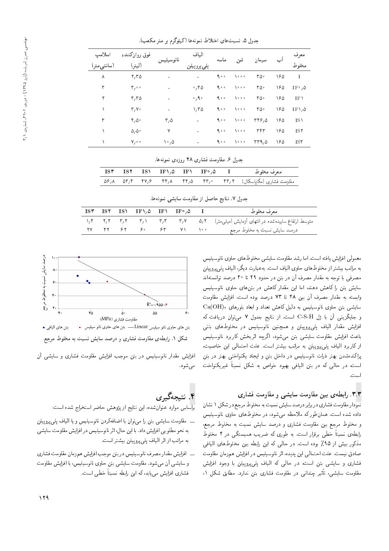| اسلامب<br>(سانتي متر) | فوق روانكننده<br>(ليتر) | نانوسيليس                    | الياف<br>پلی پرو پیلن | ماسه | شن                          | سيمان | آب  | معرف<br>مخلوط         |
|-----------------------|-------------------------|------------------------------|-----------------------|------|-----------------------------|-------|-----|-----------------------|
| ٨                     | $\mathbf{r},\mathbf{r}$ |                              |                       | 900  | $\lambda$ o o o             | ۳۵۰   | ۱۶۵ | $\mathbf{I}$          |
| ٣                     | $\mathbf{r}_{1}$ .      | $\overline{a}$               | $\cdot$ , 20          | 900  | 1000                        | ۳۵۰   | ۱۶۵ | $IF^{\circ}/\delta$   |
| ٢                     | T/TQ                    |                              | $\circ$ , 9, $\circ$  | 9.00 | 1000                        | ۳۵۰   | ۱۶۵ | $IF \setminus$        |
| ١                     | T/V                     |                              | 1.70                  | 9.00 | 1000                        | ۳۵۰   | ۱۶۵ | $IF \setminus \Delta$ |
| ٣                     | 4,0.                    | $\mathsf{r},\mathsf{\Delta}$ | $\equiv$              | 900  | 1000                        | rr9,0 | ۱۶۵ | $IS \setminus$        |
|                       | $\Delta/\Delta$ .       | ٧                            | $\equiv$              | 900  | ه ه ۱                       | ٣۴٣   | ۱۶۵ | ISY                   |
|                       | $V/\circ \circ$         | ۰٫۵                          |                       | 900  | $\lambda \circ \circ \circ$ | rr1,0 | ۱۶۵ | ISY                   |
|                       |                         |                              |                       |      |                             |       |     |                       |

حدول ۵. نسبت های اختلاط نمونهها (کیلوگرم بر متر مکعب).

جدول ۶. مقاومت فشاری ۲۸ روزهی نمونهها.

|  |  |  | $\text{ISY} = \text{ISY} = \text{ISY} = \text{IF} \setminus \Delta = \text{IF} \setminus \Delta = \text{IF} \setminus \Delta = \text{IF} \setminus \Delta = \text{IF} \setminus \Delta = \text{IF} \setminus \Delta = \text{IF} \setminus \Delta = \text{IF} \setminus \Delta = \text{IF} \setminus \Delta = \text{IF} \setminus \Delta = \text{IF} \setminus \Delta = \text{IF} \setminus \Delta = \text{IF} \setminus \Delta = \text{IF} \setminus \Delta = \text{IF} \setminus \Delta = \text{IF} \setminus \Delta = \text{IF} \setminus \Delta = \text{IF} \setminus \Delta =$ |
|--|--|--|------------------------------------------------------------------------------------------------------------------------------------------------------------------------------------------------------------------------------------------------------------------------------------------------------------------------------------------------------------------------------------------------------------------------------------------------------------------------------------------------------------------------------------------------------------------------------------|
|  |  |  | مقاومت فشاری (مگاپاسکال) ۵۶٫۸ – ۴۳٫۰ – ۴۴٫۸ – ۴۴٫۸ – ۵۶٫۸ – ۵۶٫۸ – ۵۶٫۸                                                                                                                                                                                                                                                                                                                                                                                                                                                                                                            |

جدول ٧. نتايج حاصل از مقاومت سايشي نمونهها.

|  | ISY ISY IS\ IF\, $\Delta$ IF\ IF\, $\Delta$ |  | معرف مخلوط                                                                                |
|--|---------------------------------------------|--|-------------------------------------------------------------------------------------------|
|  |                                             |  | متوسط ارتفاع ساییدهشده در انتهای آزمایش (میلی متر) ۵٫۲ تا ۳٫۲ تا ۳٫۲ تا ۲٫۲ تا ۱٫۴ تا ۱٫۴ |
|  |                                             |  | درصد سایش نسبت به مخلوط مرجع مسلم ۱۰۰ - ۴۲ - ۴۲ - ۴۲ - ۲۷ - ۲۷                            |

معمولی افزایش یافته است. اما رشد مقاومت سایشی مخلوط های حاوی نانوسیلیس به مراتب بیشتر از مخلوط های حاوی الیاف است. بهعبارت دیگر، الیاف پلی پروپیلن مصرفی با توجه به مقدار مصرف آن در بتن در حدود ۲۹ تا ۴۰ درصد توانستهاند سایش بتن را کاهش دهند، اما این مقدار کاهش در بتن های حاوی نانوسیلیس وابسته به مقدار مصرف آن بين ۴۸ تا ۷۳ درصد بوده است. افزايش مقاومت  ${\rm Ca(OH)}$ ، سایشی بتن حاوی نانوسیلیس به دلیل کاهش تعداد و ابعاد بلورهای و جايگزيني آن با زل C-S-H است. از نتايج جدول ٧ مي توان دريافت كه افزایش مقدار الیاف پل<sub>می</sub>پروپیلن و همچنین نانوسیلیس در مخلوطهای بتنی باعث افزایش مقاومت سایشی بتن می شود، اگرچه اثربخش کاربرد نانوسیلیس از كاربرد الياف پلي پروپيلن به مراتب بيشتر است. علت احتمالي اين خاصيت، پراکندهشدن بهتر ذرات نانوسیلیس در داخل بتن و ایجاد یکنواختی بهتر در بتن است، در حالي كه در بتن اليافي بهبود خواص به شكل نسبتاً غيريكنواخت است.

### **۳**.۳. رابطه یبین مقاومت سایشی و مقاومت فشاری

نمودار مقاومت فشاري در برابر درصد سايش نسبت به مخلوط مرجع در شكل ١ نشان داده شده است. همان طور که ملاحظه می شود، در مخلوط های حاوی نانوسیلیس و مخلوط مرجع بين مقاومت فشارى و درصد سايش نسبت به مخلوط مرجع، رابطهی نسبتاً خطی برقرار است. به طوری که ضریب همبستگی در ۴ مخلوط مذکور بیش از ۹۵٪ بوده است. در حالی که این رابطه بین مخلوط های الیافی صادق نیست. علت احتمالی این پدیده، اثر نانوسیلیس در افزایش همزمان مقاومت فشاری و سایشی بتن است، در حالی که الیاف پلی پروپیلن با وجود افزایش مقاومت سایشی، تأثیر چندانی در مقاومت فشاری بتن ندارد. مطابق شکل ۱،



شکل ۱. رابطهی مقاومت فشاری و درصد سایش نسبت به مخلوط مرجع.

افزایش مقدار نانوسیلیس در بتن موجب افزایش مقاومت فشاری و سایشی آن مىشود.

# ۴. نتیجهگیری

براساس موارد عنوانشده، این نتایج از پژوهش حاضر استخراج شده است:

- ــ مقاومت سایشی بتن را می توان با اضافهکردن نانوسیلیس و یا الیاف پلی پروپیلن به نحو مطلوبی افزایش داد. با این حال، اثر نانوسیلیس در افزایش مقاومت سایشی به مراتب از اثر الیاف یلی پروییلن بیشتر است.
- ـ افزايش مقدار مصرف نانوسيليس دربتن موجب افزايش همزمان مقاومت فشارى و سایشی آن می شود. مقاومت سایشی بتن حاوی نانوسیلیس، با افزایش مقاومت فشارى افزايش مىيابد، كه اين رابطه نسبتاً خطى است.